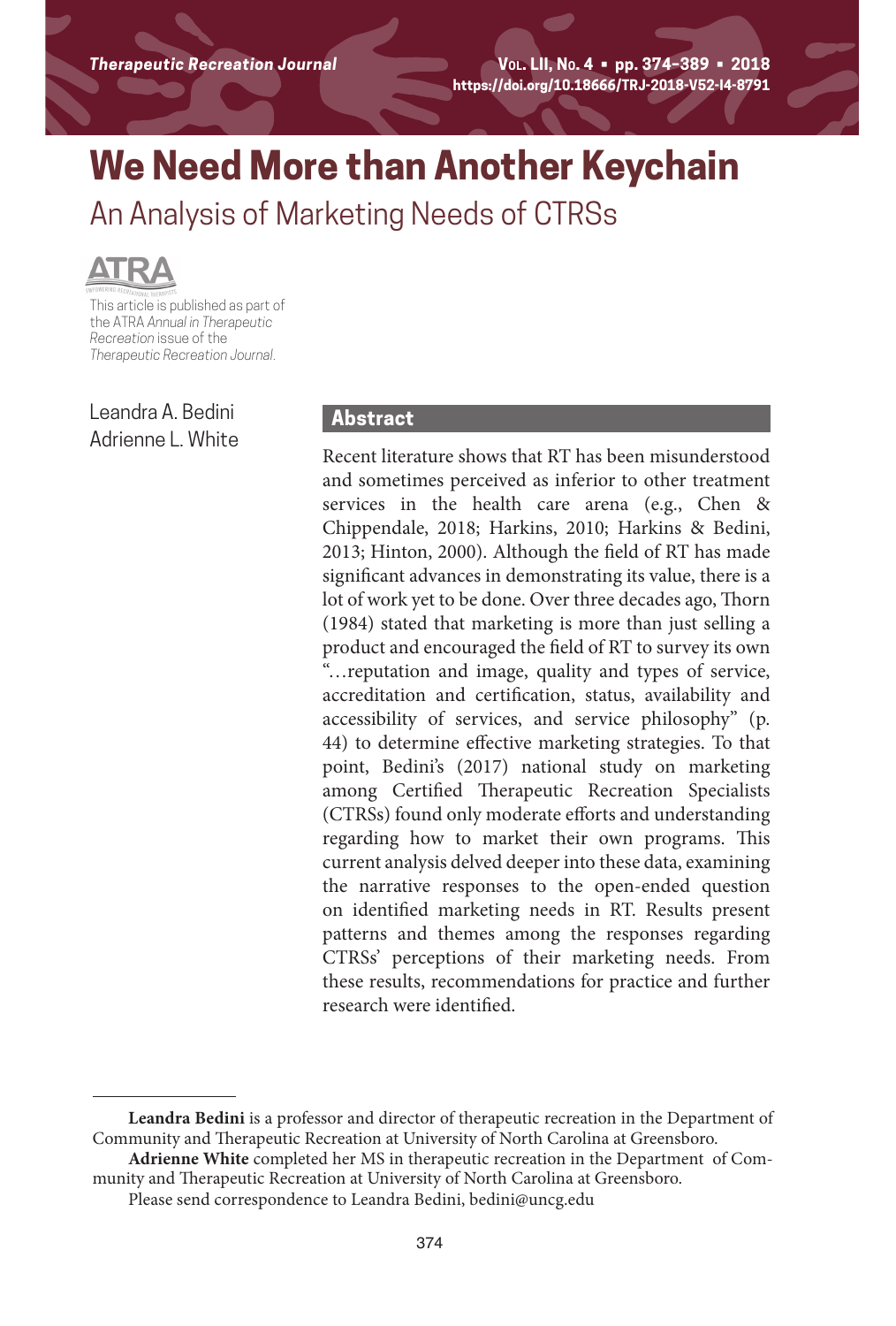# **We Need More than Another Keychain**

An Analysis of Marketing Needs of CTRSs



**This article is published as part of<br>This article is published as part of** the ATRA *Annual in Therapeutic Recreation* issue of the *Therapeutic Recreation Journal*.

Leandra A. Bedini Adrienne L. White

### **Abstract**

Recent literature shows that RT has been misunderstood and sometimes perceived as inferior to other treatment services in the health care arena (e.g., Chen & Chippendale, 2018; Harkins, 2010; Harkins & Bedini, 2013; Hinton, 2000). Although the field of RT has made significant advances in demonstrating its value, there is a lot of work yet to be done. Over three decades ago, Thorn (1984) stated that marketing is more than just selling a product and encouraged the field of RT to survey its own "…reputation and image, quality and types of service, accreditation and certification, status, availability and accessibility of services, and service philosophy" (p. 44) to determine effective marketing strategies. To that point, Bedini's (2017) national study on marketing among Certified Therapeutic Recreation Specialists (CTRSs) found only moderate efforts and understanding regarding how to market their own programs. This current analysis delved deeper into these data, examining the narrative responses to the open-ended question on identified marketing needs in RT. Results present patterns and themes among the responses regarding CTRSs' perceptions of their marketing needs. From these results, recommendations for practice and further research were identified.

**Leandra Bedini** is a professor and director of therapeutic recreation in the Department of Community and Therapeutic Recreation at University of North Carolina at Greensboro.

**Adrienne White** completed her MS in therapeutic recreation in the Department of Community and Therapeutic Recreation at University of North Carolina at Greensboro.

Please send correspondence to Leandra Bedini, bedini@uncg.edu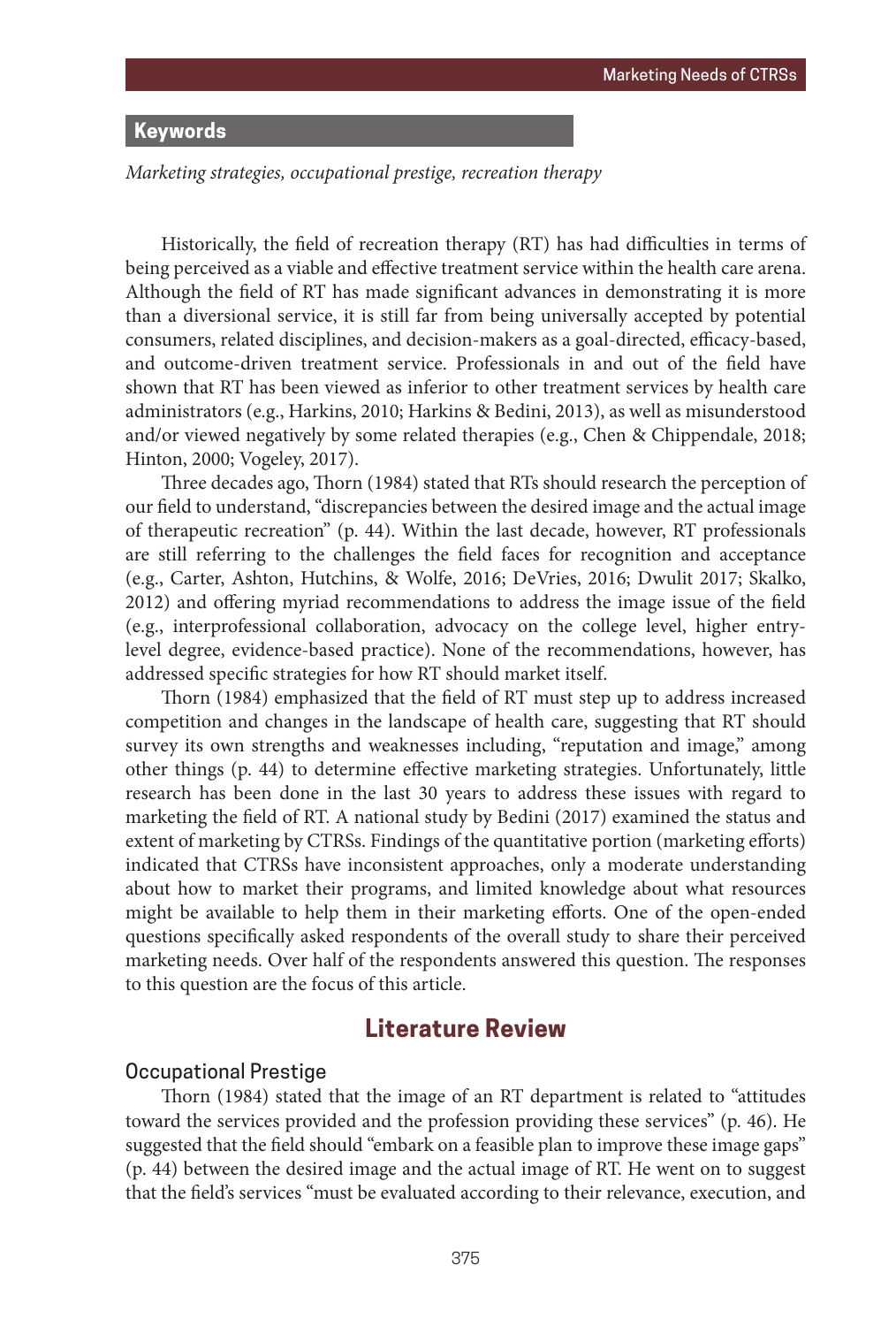# **Keywords**

*Marketing strategies, occupational prestige, recreation therapy*

Historically, the field of recreation therapy (RT) has had difficulties in terms of being perceived as a viable and effective treatment service within the health care arena. Although the field of RT has made significant advances in demonstrating it is more than a diversional service, it is still far from being universally accepted by potential consumers, related disciplines, and decision-makers as a goal-directed, efficacy-based, and outcome-driven treatment service. Professionals in and out of the field have shown that RT has been viewed as inferior to other treatment services by health care administrators (e.g., Harkins, 2010; Harkins & Bedini, 2013), as well as misunderstood and/or viewed negatively by some related therapies (e.g., Chen & Chippendale, 2018; Hinton, 2000; Vogeley, 2017).

Three decades ago, Thorn (1984) stated that RTs should research the perception of our field to understand, "discrepancies between the desired image and the actual image of therapeutic recreation" (p. 44). Within the last decade, however, RT professionals are still referring to the challenges the field faces for recognition and acceptance (e.g., Carter, Ashton, Hutchins, & Wolfe, 2016; DeVries, 2016; Dwulit 2017; Skalko, 2012) and offering myriad recommendations to address the image issue of the field (e.g., interprofessional collaboration, advocacy on the college level, higher entrylevel degree, evidence-based practice). None of the recommendations, however, has addressed specific strategies for how RT should market itself.

Thorn (1984) emphasized that the field of RT must step up to address increased competition and changes in the landscape of health care, suggesting that RT should survey its own strengths and weaknesses including, "reputation and image," among other things (p. 44) to determine effective marketing strategies. Unfortunately, little research has been done in the last 30 years to address these issues with regard to marketing the field of RT. A national study by Bedini (2017) examined the status and extent of marketing by CTRSs. Findings of the quantitative portion (marketing efforts) indicated that CTRSs have inconsistent approaches, only a moderate understanding about how to market their programs, and limited knowledge about what resources might be available to help them in their marketing efforts. One of the open-ended questions specifically asked respondents of the overall study to share their perceived marketing needs. Over half of the respondents answered this question. The responses to this question are the focus of this article.

## **Literature Review**

#### Occupational Prestige

Thorn (1984) stated that the image of an RT department is related to "attitudes toward the services provided and the profession providing these services" (p. 46). He suggested that the field should "embark on a feasible plan to improve these image gaps" (p. 44) between the desired image and the actual image of RT. He went on to suggest that the field's services "must be evaluated according to their relevance, execution, and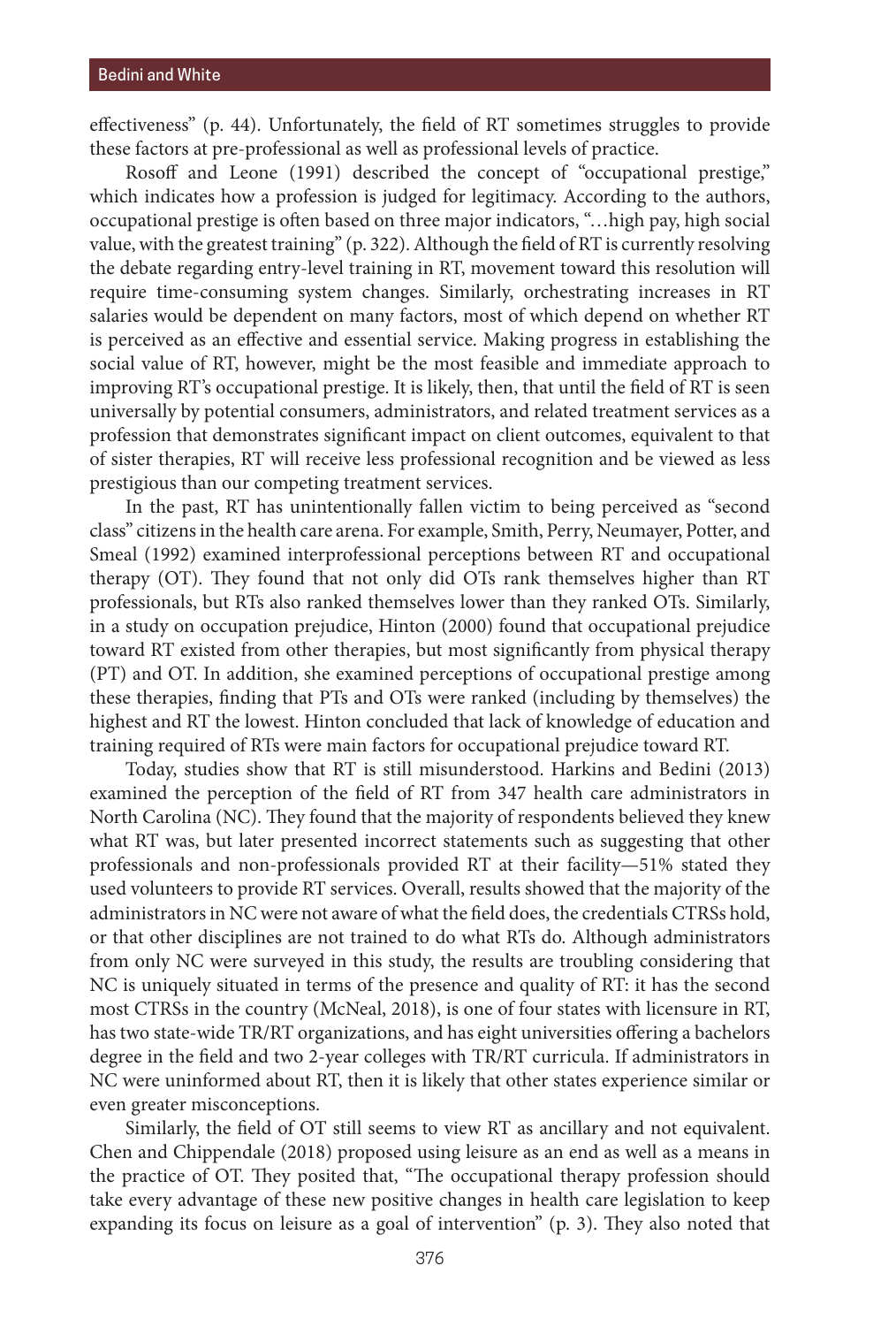effectiveness" (p. 44). Unfortunately, the field of RT sometimes struggles to provide these factors at pre-professional as well as professional levels of practice.

Rosoff and Leone (1991) described the concept of "occupational prestige," which indicates how a profession is judged for legitimacy. According to the authors, occupational prestige is often based on three major indicators, "…high pay, high social value, with the greatest training" (p. 322). Although the field of RT is currently resolving the debate regarding entry-level training in RT, movement toward this resolution will require time-consuming system changes. Similarly, orchestrating increases in RT salaries would be dependent on many factors, most of which depend on whether RT is perceived as an effective and essential service. Making progress in establishing the social value of RT, however, might be the most feasible and immediate approach to improving RT's occupational prestige. It is likely, then, that until the field of RT is seen universally by potential consumers, administrators, and related treatment services as a profession that demonstrates significant impact on client outcomes, equivalent to that of sister therapies, RT will receive less professional recognition and be viewed as less prestigious than our competing treatment services.

In the past, RT has unintentionally fallen victim to being perceived as "second class" citizens in the health care arena. For example, Smith, Perry, Neumayer, Potter, and Smeal (1992) examined interprofessional perceptions between RT and occupational therapy (OT). They found that not only did OTs rank themselves higher than RT professionals, but RTs also ranked themselves lower than they ranked OTs. Similarly, in a study on occupation prejudice, Hinton (2000) found that occupational prejudice toward RT existed from other therapies, but most significantly from physical therapy (PT) and OT. In addition, she examined perceptions of occupational prestige among these therapies, finding that PTs and OTs were ranked (including by themselves) the highest and RT the lowest. Hinton concluded that lack of knowledge of education and training required of RTs were main factors for occupational prejudice toward RT.

Today, studies show that RT is still misunderstood. Harkins and Bedini (2013) examined the perception of the field of RT from 347 health care administrators in North Carolina (NC). They found that the majority of respondents believed they knew what RT was, but later presented incorrect statements such as suggesting that other professionals and non-professionals provided RT at their facility—51% stated they used volunteers to provide RT services. Overall, results showed that the majority of the administrators in NC were not aware of what the field does, the credentials CTRSs hold, or that other disciplines are not trained to do what RTs do. Although administrators from only NC were surveyed in this study, the results are troubling considering that NC is uniquely situated in terms of the presence and quality of RT: it has the second most CTRSs in the country (McNeal, 2018), is one of four states with licensure in RT, has two state-wide TR/RT organizations, and has eight universities offering a bachelors degree in the field and two 2-year colleges with TR/RT curricula. If administrators in NC were uninformed about RT, then it is likely that other states experience similar or even greater misconceptions.

Similarly, the field of OT still seems to view RT as ancillary and not equivalent. Chen and Chippendale (2018) proposed using leisure as an end as well as a means in the practice of OT. They posited that, "The occupational therapy profession should take every advantage of these new positive changes in health care legislation to keep expanding its focus on leisure as a goal of intervention" (p. 3). They also noted that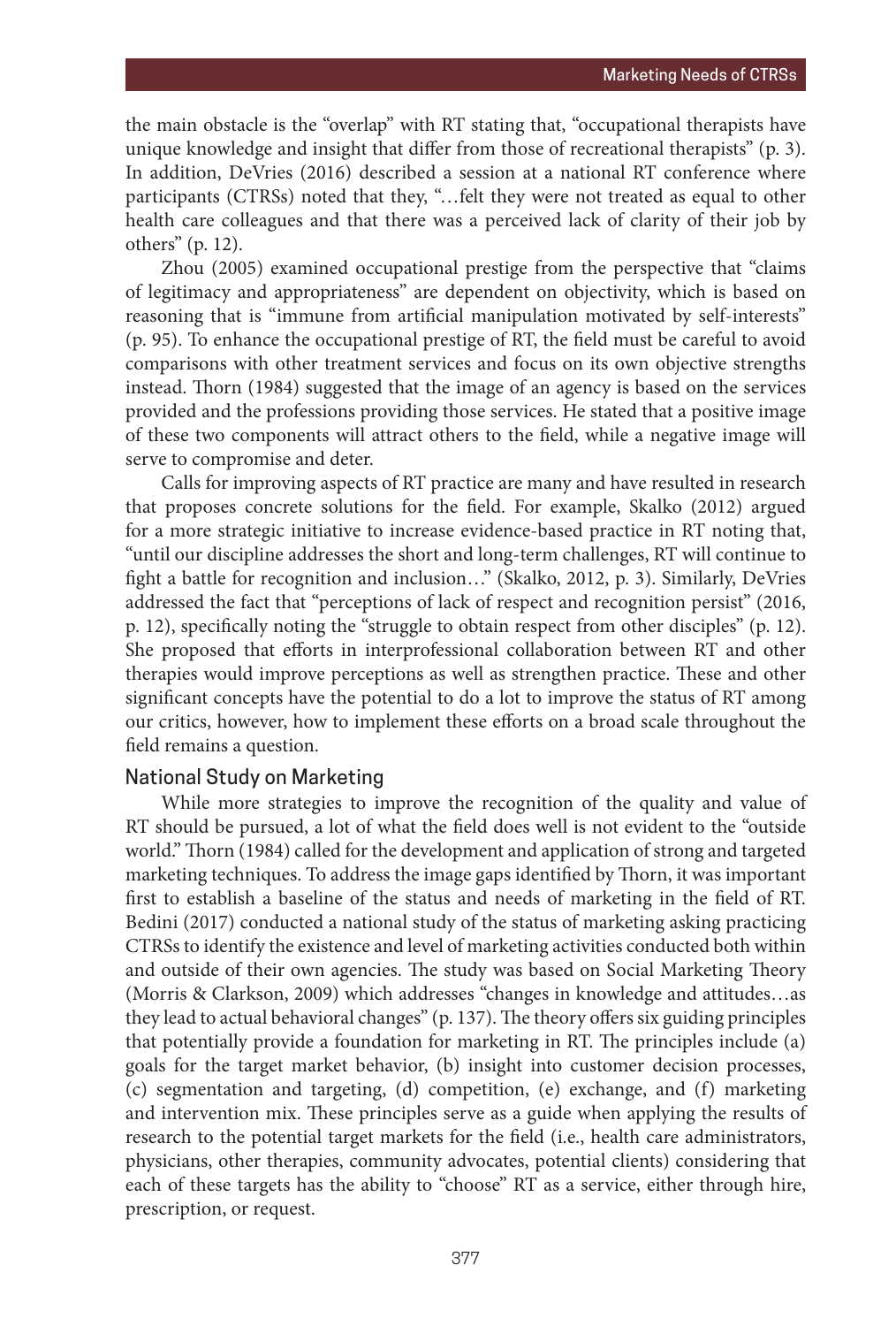the main obstacle is the "overlap" with RT stating that, "occupational therapists have unique knowledge and insight that differ from those of recreational therapists" (p. 3). In addition, DeVries (2016) described a session at a national RT conference where participants (CTRSs) noted that they, "…felt they were not treated as equal to other health care colleagues and that there was a perceived lack of clarity of their job by others" (p. 12).

Zhou (2005) examined occupational prestige from the perspective that "claims of legitimacy and appropriateness" are dependent on objectivity, which is based on reasoning that is "immune from artificial manipulation motivated by self-interests" (p. 95). To enhance the occupational prestige of RT, the field must be careful to avoid comparisons with other treatment services and focus on its own objective strengths instead. Thorn (1984) suggested that the image of an agency is based on the services provided and the professions providing those services. He stated that a positive image of these two components will attract others to the field, while a negative image will serve to compromise and deter.

Calls for improving aspects of RT practice are many and have resulted in research that proposes concrete solutions for the field. For example, Skalko (2012) argued for a more strategic initiative to increase evidence-based practice in RT noting that, "until our discipline addresses the short and long-term challenges, RT will continue to fight a battle for recognition and inclusion…" (Skalko, 2012, p. 3). Similarly, DeVries addressed the fact that "perceptions of lack of respect and recognition persist" (2016, p. 12), specifically noting the "struggle to obtain respect from other disciples" (p. 12). She proposed that efforts in interprofessional collaboration between RT and other therapies would improve perceptions as well as strengthen practice. These and other significant concepts have the potential to do a lot to improve the status of RT among our critics, however, how to implement these efforts on a broad scale throughout the field remains a question.

#### National Study on Marketing

While more strategies to improve the recognition of the quality and value of RT should be pursued, a lot of what the field does well is not evident to the "outside world." Thorn (1984) called for the development and application of strong and targeted marketing techniques. To address the image gaps identified by Thorn, it was important first to establish a baseline of the status and needs of marketing in the field of RT. Bedini (2017) conducted a national study of the status of marketing asking practicing CTRSs to identify the existence and level of marketing activities conducted both within and outside of their own agencies. The study was based on Social Marketing Theory (Morris & Clarkson, 2009) which addresses "changes in knowledge and attitudes…as they lead to actual behavioral changes" (p. 137). The theory offers six guiding principles that potentially provide a foundation for marketing in RT. The principles include (a) goals for the target market behavior, (b) insight into customer decision processes, (c) segmentation and targeting, (d) competition, (e) exchange, and (f) marketing and intervention mix. These principles serve as a guide when applying the results of research to the potential target markets for the field (i.e., health care administrators, physicians, other therapies, community advocates, potential clients) considering that each of these targets has the ability to "choose" RT as a service, either through hire, prescription, or request.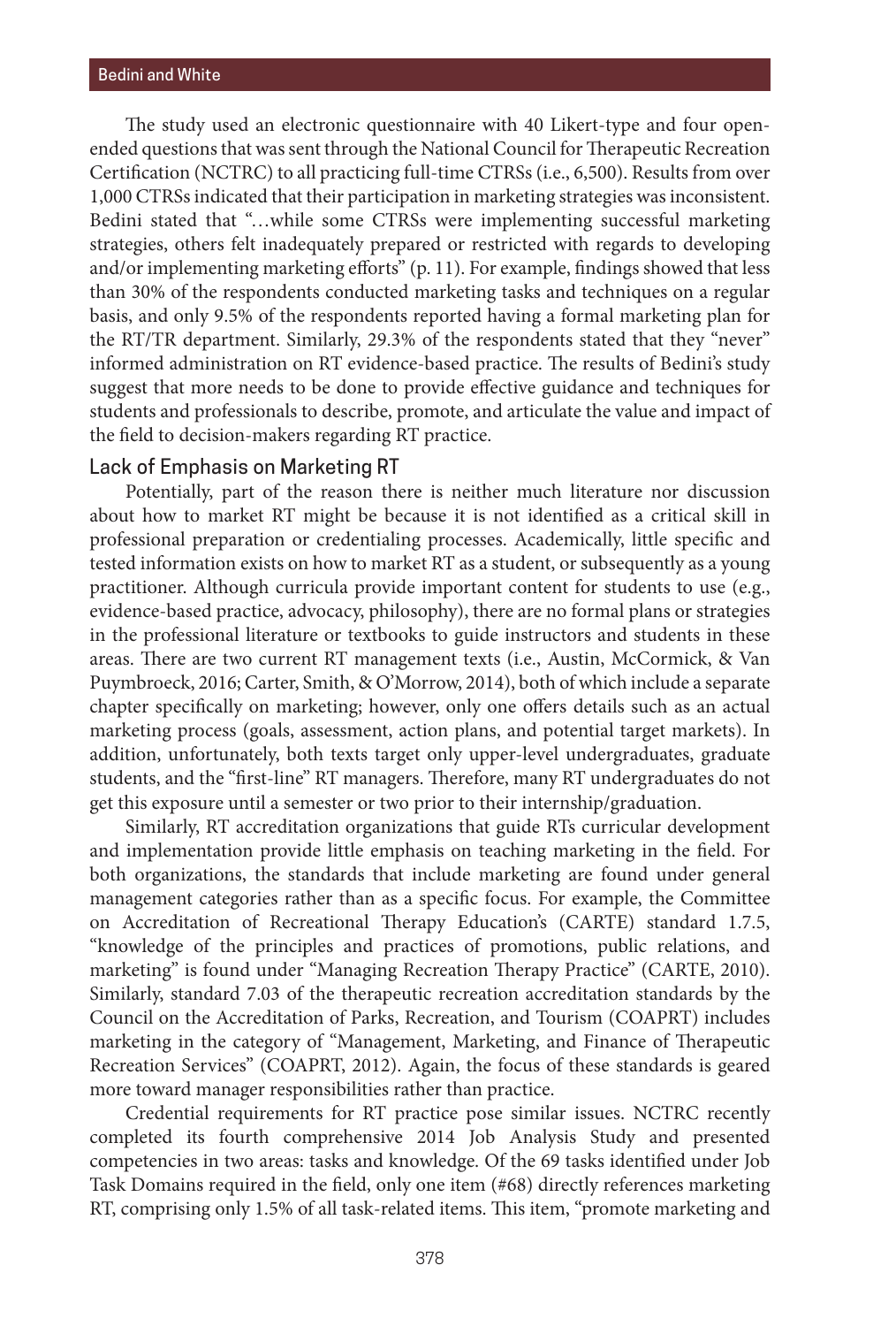The study used an electronic questionnaire with 40 Likert-type and four openended questions that was sent through the National Council for Therapeutic Recreation Certification (NCTRC) to all practicing full-time CTRSs (i.e., 6,500). Results from over 1,000 CTRSs indicated that their participation in marketing strategies was inconsistent. Bedini stated that "…while some CTRSs were implementing successful marketing strategies, others felt inadequately prepared or restricted with regards to developing and/or implementing marketing efforts" (p. 11). For example, findings showed that less than 30% of the respondents conducted marketing tasks and techniques on a regular basis, and only 9.5% of the respondents reported having a formal marketing plan for the RT/TR department. Similarly, 29.3% of the respondents stated that they "never" informed administration on RT evidence-based practice. The results of Bedini's study suggest that more needs to be done to provide effective guidance and techniques for students and professionals to describe, promote, and articulate the value and impact of the field to decision-makers regarding RT practice.

#### Lack of Emphasis on Marketing RT

Potentially, part of the reason there is neither much literature nor discussion about how to market RT might be because it is not identified as a critical skill in professional preparation or credentialing processes. Academically, little specific and tested information exists on how to market RT as a student, or subsequently as a young practitioner. Although curricula provide important content for students to use (e.g., evidence-based practice, advocacy, philosophy), there are no formal plans or strategies in the professional literature or textbooks to guide instructors and students in these areas. There are two current RT management texts (i.e., Austin, McCormick, & Van Puymbroeck, 2016; Carter, Smith, & O'Morrow, 2014), both of which include a separate chapter specifically on marketing; however, only one offers details such as an actual marketing process (goals, assessment, action plans, and potential target markets). In addition, unfortunately, both texts target only upper-level undergraduates, graduate students, and the "first-line" RT managers. Therefore, many RT undergraduates do not get this exposure until a semester or two prior to their internship/graduation.

Similarly, RT accreditation organizations that guide RTs curricular development and implementation provide little emphasis on teaching marketing in the field. For both organizations, the standards that include marketing are found under general management categories rather than as a specific focus. For example, the Committee on Accreditation of Recreational Therapy Education's (CARTE) standard 1.7.5, "knowledge of the principles and practices of promotions, public relations, and marketing" is found under "Managing Recreation Therapy Practice" (CARTE, 2010). Similarly, standard 7.03 of the therapeutic recreation accreditation standards by the Council on the Accreditation of Parks, Recreation, and Tourism (COAPRT) includes marketing in the category of "Management, Marketing, and Finance of Therapeutic Recreation Services" (COAPRT, 2012). Again, the focus of these standards is geared more toward manager responsibilities rather than practice.

Credential requirements for RT practice pose similar issues. NCTRC recently completed its fourth comprehensive 2014 Job Analysis Study and presented competencies in two areas: tasks and knowledge. Of the 69 tasks identified under Job Task Domains required in the field, only one item (#68) directly references marketing RT, comprising only 1.5% of all task-related items. This item, "promote marketing and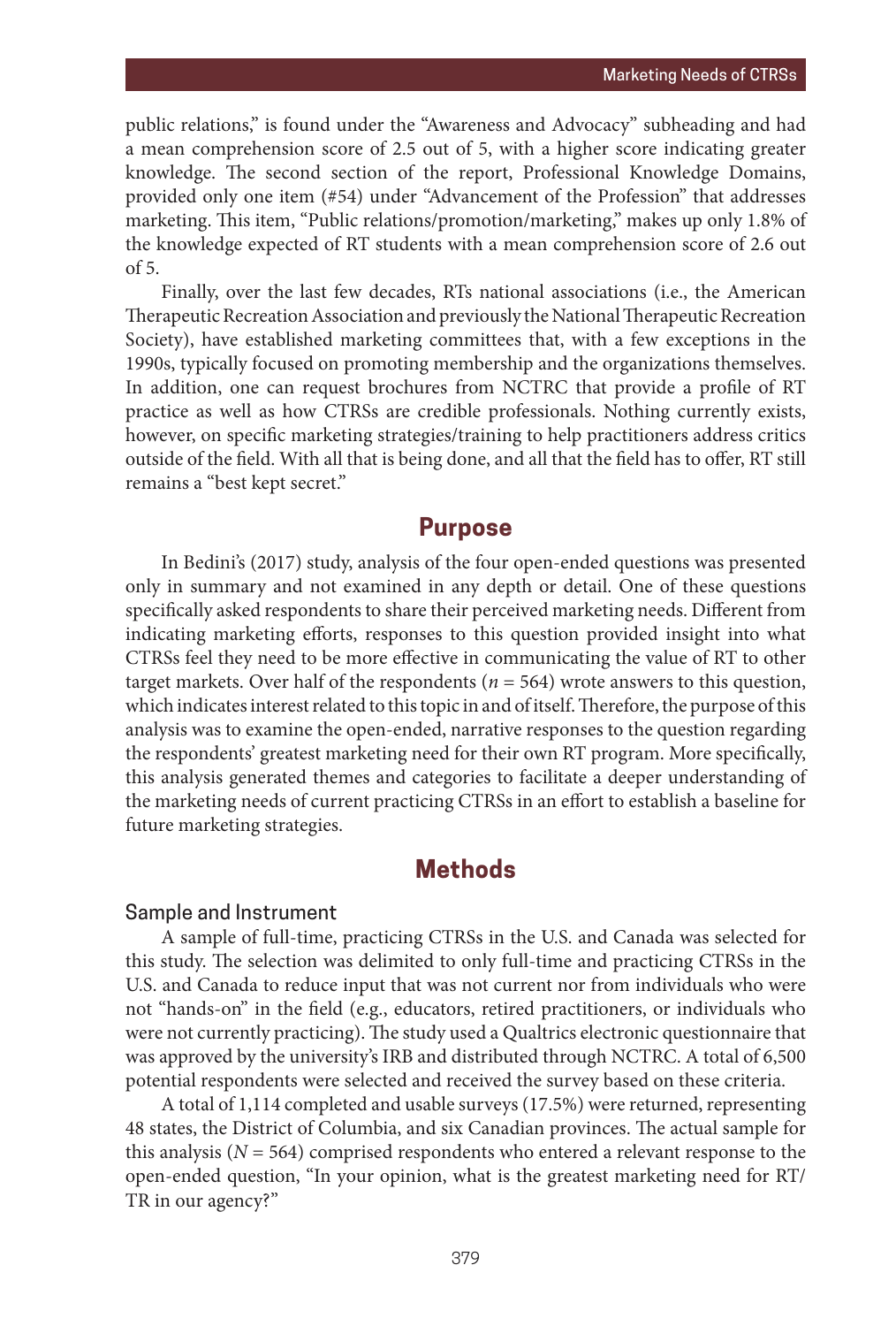public relations," is found under the "Awareness and Advocacy" subheading and had a mean comprehension score of 2.5 out of 5, with a higher score indicating greater knowledge. The second section of the report, Professional Knowledge Domains, provided only one item (#54) under "Advancement of the Profession" that addresses marketing. This item, "Public relations/promotion/marketing," makes up only 1.8% of the knowledge expected of RT students with a mean comprehension score of 2.6 out of 5.

Finally, over the last few decades, RTs national associations (i.e., the American Therapeutic Recreation Association and previously the National Therapeutic Recreation Society), have established marketing committees that, with a few exceptions in the 1990s, typically focused on promoting membership and the organizations themselves. In addition, one can request brochures from NCTRC that provide a profile of RT practice as well as how CTRSs are credible professionals. Nothing currently exists, however, on specific marketing strategies/training to help practitioners address critics outside of the field. With all that is being done, and all that the field has to offer, RT still remains a "best kept secret."

## **Purpose**

In Bedini's (2017) study, analysis of the four open-ended questions was presented only in summary and not examined in any depth or detail. One of these questions specifically asked respondents to share their perceived marketing needs. Different from indicating marketing efforts, responses to this question provided insight into what CTRSs feel they need to be more effective in communicating the value of RT to other target markets. Over half of the respondents (*n* = 564) wrote answers to this question, which indicates interest related to this topic in and of itself. Therefore, the purpose of this analysis was to examine the open-ended, narrative responses to the question regarding the respondents' greatest marketing need for their own RT program. More specifically, this analysis generated themes and categories to facilitate a deeper understanding of the marketing needs of current practicing CTRSs in an effort to establish a baseline for future marketing strategies.

# **Methods**

#### Sample and Instrument

A sample of full-time, practicing CTRSs in the U.S. and Canada was selected for this study. The selection was delimited to only full-time and practicing CTRSs in the U.S. and Canada to reduce input that was not current nor from individuals who were not "hands-on" in the field (e.g., educators, retired practitioners, or individuals who were not currently practicing). The study used a Qualtrics electronic questionnaire that was approved by the university's IRB and distributed through NCTRC. A total of 6,500 potential respondents were selected and received the survey based on these criteria.

A total of 1,114 completed and usable surveys (17.5%) were returned, representing 48 states, the District of Columbia, and six Canadian provinces. The actual sample for this analysis ( $N = 564$ ) comprised respondents who entered a relevant response to the open-ended question, "In your opinion, what is the greatest marketing need for RT/ TR in our agency?"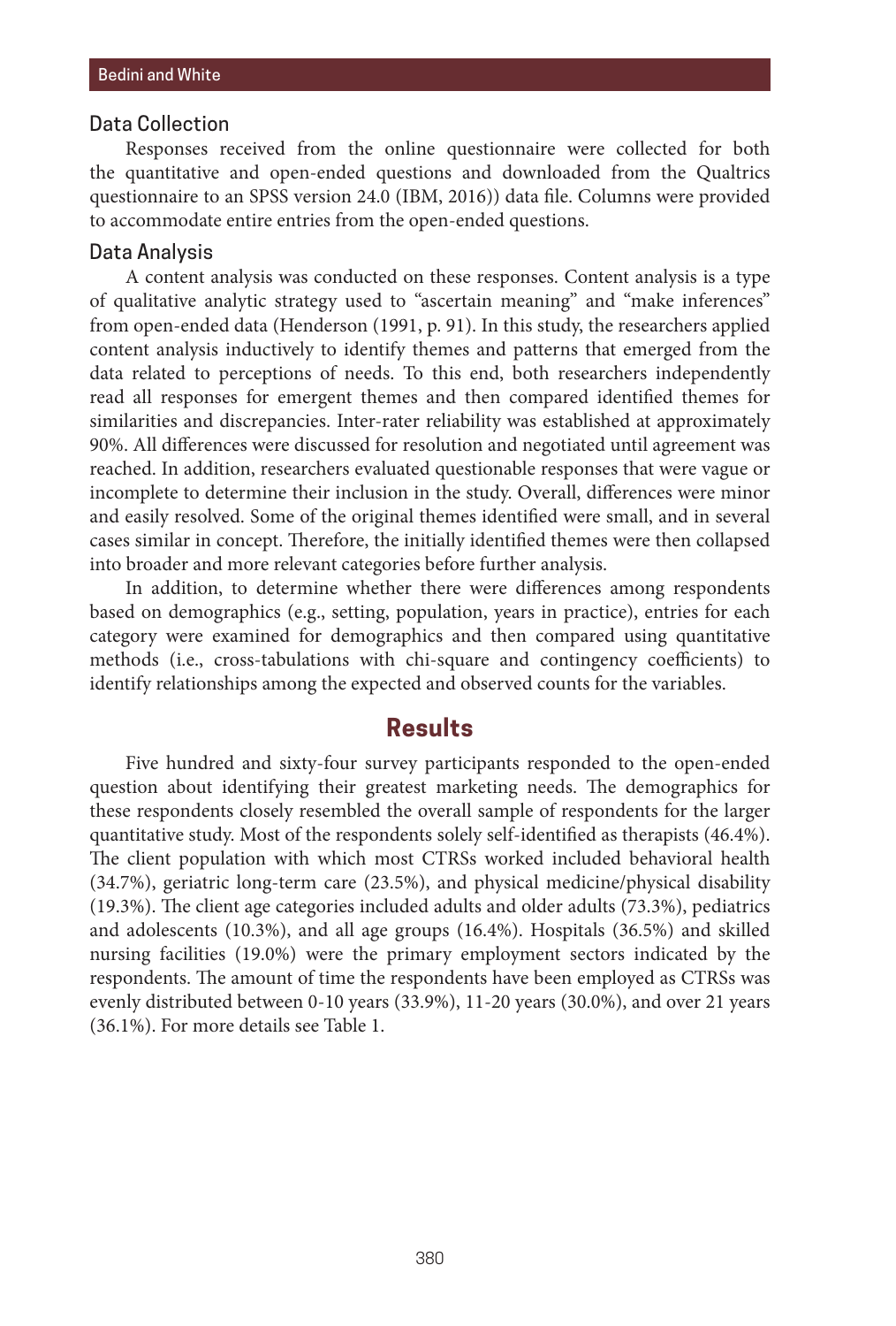#### Data Collection

Responses received from the online questionnaire were collected for both the quantitative and open-ended questions and downloaded from the Qualtrics questionnaire to an SPSS version 24.0 (IBM, 2016)) data file. Columns were provided to accommodate entire entries from the open-ended questions.

#### Data Analysis

A content analysis was conducted on these responses. Content analysis is a type of qualitative analytic strategy used to "ascertain meaning" and "make inferences" from open-ended data (Henderson (1991, p. 91). In this study, the researchers applied content analysis inductively to identify themes and patterns that emerged from the data related to perceptions of needs. To this end, both researchers independently read all responses for emergent themes and then compared identified themes for similarities and discrepancies. Inter-rater reliability was established at approximately 90%. All differences were discussed for resolution and negotiated until agreement was reached. In addition, researchers evaluated questionable responses that were vague or incomplete to determine their inclusion in the study. Overall, differences were minor and easily resolved. Some of the original themes identified were small, and in several cases similar in concept. Therefore, the initially identified themes were then collapsed into broader and more relevant categories before further analysis.

In addition, to determine whether there were differences among respondents based on demographics (e.g., setting, population, years in practice), entries for each category were examined for demographics and then compared using quantitative methods (i.e., cross-tabulations with chi-square and contingency coefficients) to identify relationships among the expected and observed counts for the variables.

## **Results**

Five hundred and sixty-four survey participants responded to the open-ended question about identifying their greatest marketing needs. The demographics for these respondents closely resembled the overall sample of respondents for the larger quantitative study. Most of the respondents solely self-identified as therapists (46.4%). The client population with which most CTRSs worked included behavioral health (34.7%), geriatric long-term care (23.5%), and physical medicine/physical disability (19.3%). The client age categories included adults and older adults (73.3%), pediatrics and adolescents (10.3%), and all age groups (16.4%). Hospitals (36.5%) and skilled nursing facilities (19.0%) were the primary employment sectors indicated by the respondents. The amount of time the respondents have been employed as CTRSs was evenly distributed between 0-10 years (33.9%), 11-20 years (30.0%), and over 21 years (36.1%). For more details see Table 1.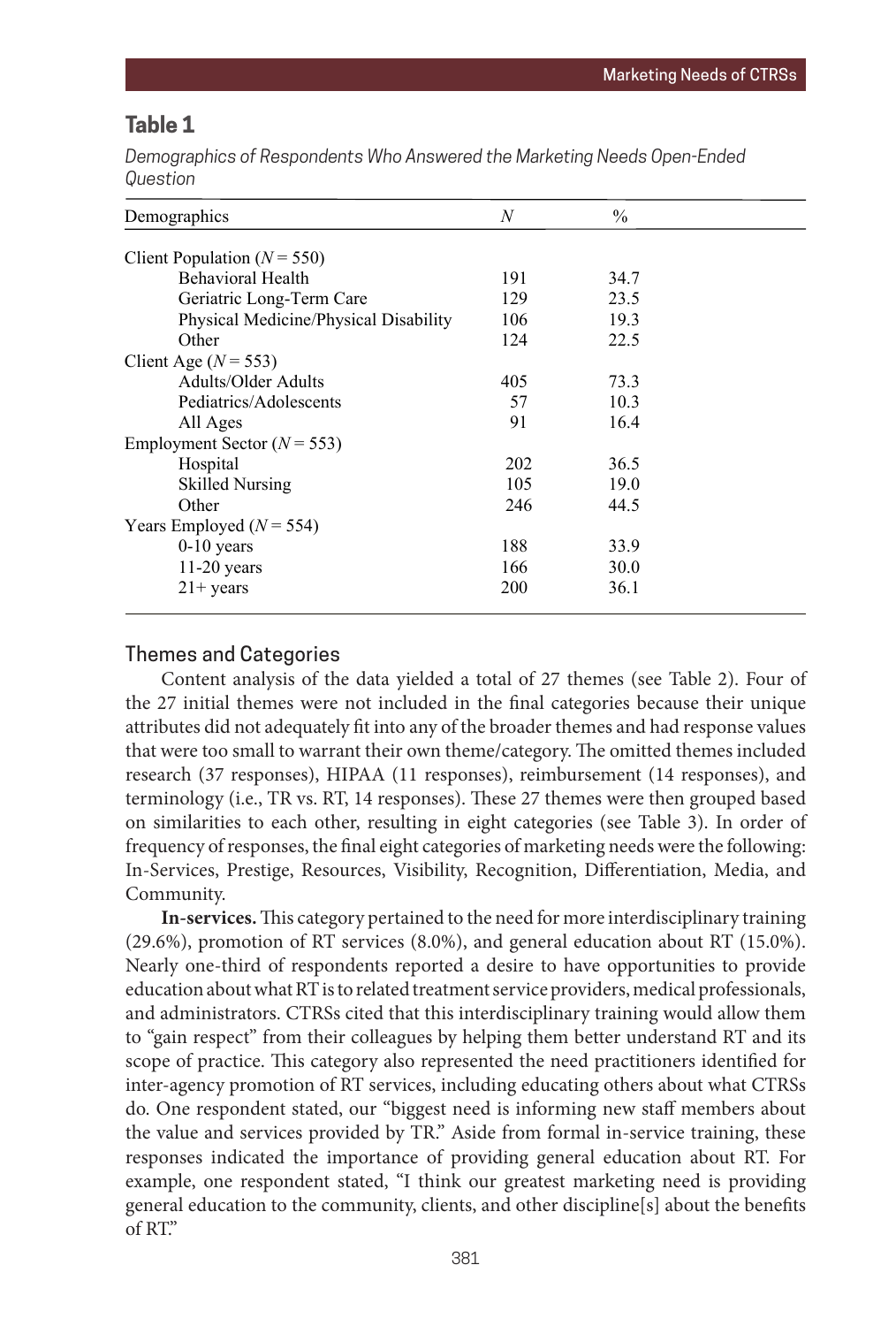## **Table 1**

Demographics of Respondents Who Answered the Marketing Needs Open-Ended *Question Demographics of Respondents Who Answered the Marketing Needs Open-Ended Question*

| Demographics                          | N   | $\frac{0}{0}$ |  |
|---------------------------------------|-----|---------------|--|
| Client Population $(N = 550)$         |     |               |  |
| <b>Behavioral Health</b>              | 191 | 34.7          |  |
| Geriatric Long-Term Care              | 129 | 23.5          |  |
| Physical Medicine/Physical Disability | 106 | 19.3          |  |
| Other                                 | 124 | 22.5          |  |
| Client Age $(N = 553)$                |     |               |  |
| Adults/Older Adults                   | 405 | 73.3          |  |
| Pediatrics/Adolescents                | 57  | 10.3          |  |
| All Ages                              | 91  | 16.4          |  |
| Employment Sector ( $N = 553$ )       |     |               |  |
| Hospital                              | 202 | 36.5          |  |
| <b>Skilled Nursing</b>                | 105 | 19.0          |  |
| Other                                 | 246 | 44.5          |  |
| Years Employed ( $N = 554$ )          |     |               |  |
| $0-10$ years                          | 188 | 33.9          |  |
| $11-20$ years                         | 166 | 30.0          |  |
| $21+$ years                           | 200 | 36.1          |  |
|                                       |     |               |  |

#### Themes and Categories

Content analysis of the data yielded a total of 27 themes (see Table 2). Four of the 27 initial themes were not included in the final categories because their unique attributes did not adequately fit into any of the broader themes and had response values that were too small to warrant their own theme/category. The omitted themes included research (37 responses), HIPAA (11 responses), reimbursement (14 responses), and terminology (i.e., TR vs. RT, 14 responses). These 27 themes were then grouped based on similarities to each other, resulting in eight categories (see Table 3). In order of frequency of responses, the final eight categories of marketing needs were the following: In-Services, Prestige, Resources, Visibility, Recognition, Differentiation, Media, and Community.

**In-services.** This category pertained to the need for more interdisciplinary training (29.6%), promotion of RT services (8.0%), and general education about RT (15.0%). Nearly one-third of respondents reported a desire to have opportunities to provide reality one time of responsions reported a desire to have opportunities to provide education about what RT is to related treatment service providers, medical professionals, and administrators. CTRSs cited that this interdisciplinary training would allow them to "gain respect" from their colleagues by helping them better understand RT and its scope of practice. This category also represented the need practitioners identified for inter-agency promotion of RT services, including educating others about what CTRSs do. One respondent stated, our "biggest need is informing new staff members about the value and services provided by TR." Aside from formal in-service training, these responses indicated the importance of providing general education about RT. For example, one respondent stated, "I think our greatest marketing need is providing general education to the community, clients, and other discipline[s] about the benefits of RT."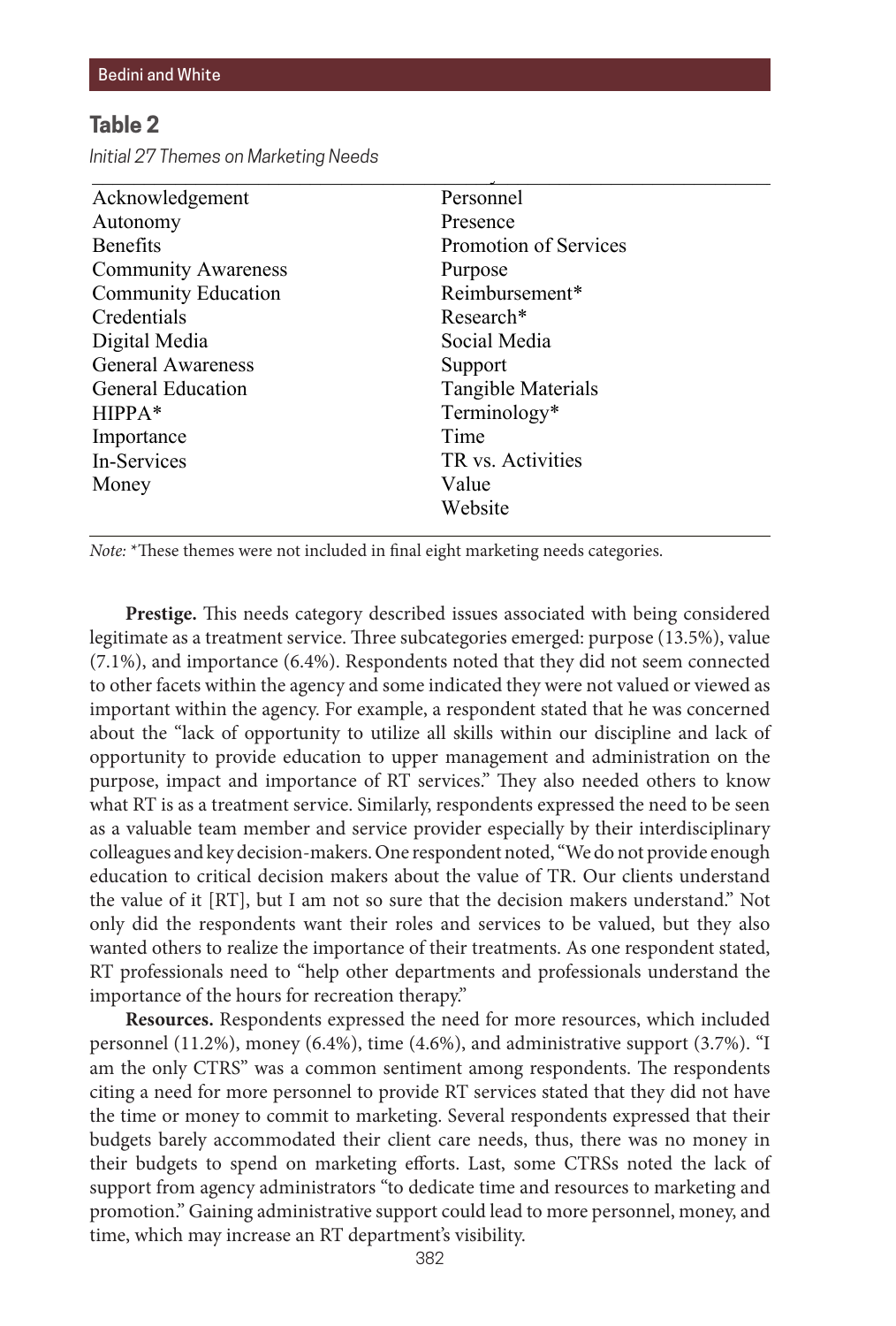## **Table 2** Table 2

*Initial 27 Themes on Marketing Needs Initial 27 Themes on Marketing Needs*

| Personnel             |  |
|-----------------------|--|
| Presence              |  |
| Promotion of Services |  |
| Purpose               |  |
| Reimbursement*        |  |
| Research <sup>*</sup> |  |
| Social Media          |  |
| Support               |  |
| Tangible Materials    |  |
| Terminology*          |  |
| Time                  |  |
| TR vs. Activities     |  |
| Value                 |  |
| Website               |  |
|                       |  |

General Awareness

<u>Presence</u> *Note*: \*These themes were not included in final eight marketing needs categories.

Prestige. This needs category described issues associated with being considered legitimate as a treatment service. Three subcategories emerged: purpose (13.5%), value legitimate as a treatment service. Three subcategories emerged: purpose (13.5%), value  $(7.1\%)$ , and importance  $(6.4\%)$ . Respondents noted that they did not seem connected to other facets within the agency and some indicated they were not valued or viewed as important within the agency. For example, a respondent stated that he was concerned about the "lack of opportunity to utilize all skills within our discipline and lack of opportunity to provide education to upper management and administration on the opportunity to provide education to upper management and administration on the purpose, impact and importance of RT services." They also needed others to know what RT is as a treatment service. Similarly, respondents expressed the need to be seen as a valuable team member and service provider especially by their interdisciplinary as colleagues and key decision-makers. One respondent noted, "We do not provide enough education to critical decision makers about the value of TR. Our clients understand the value of it [RT], but I am not so sure that the decision makers understand." Not only did the respondents want their roles and services to be valued, but they also wanted others to realize the importance of their treatments. As one respondent stated, RT professionals need to "help other departments and professionals understand the importance of the hours for recreation therapy."

**Resources.** Respondents expressed the need for more resources, which included personnel (11.2%), money (6.4%), time (4.6%), and administrative support (3.7%). "I am the only CTRS" was a common sentiment among respondents. The respondents citing a need for more personnel to provide RT services stated that they did not have the time or money to commit to marketing. Several respondents expressed that their budgets barely accommodated their client care needs, thus, there was no money in their budgets to spend on marketing efforts. Last, some CTRSs noted the lack of support from agency administrators "to dedicate time and resources to marketing and promotion." Gaining administrative support could lead to more personnel, money, and time, which may increase an RT department's visibility.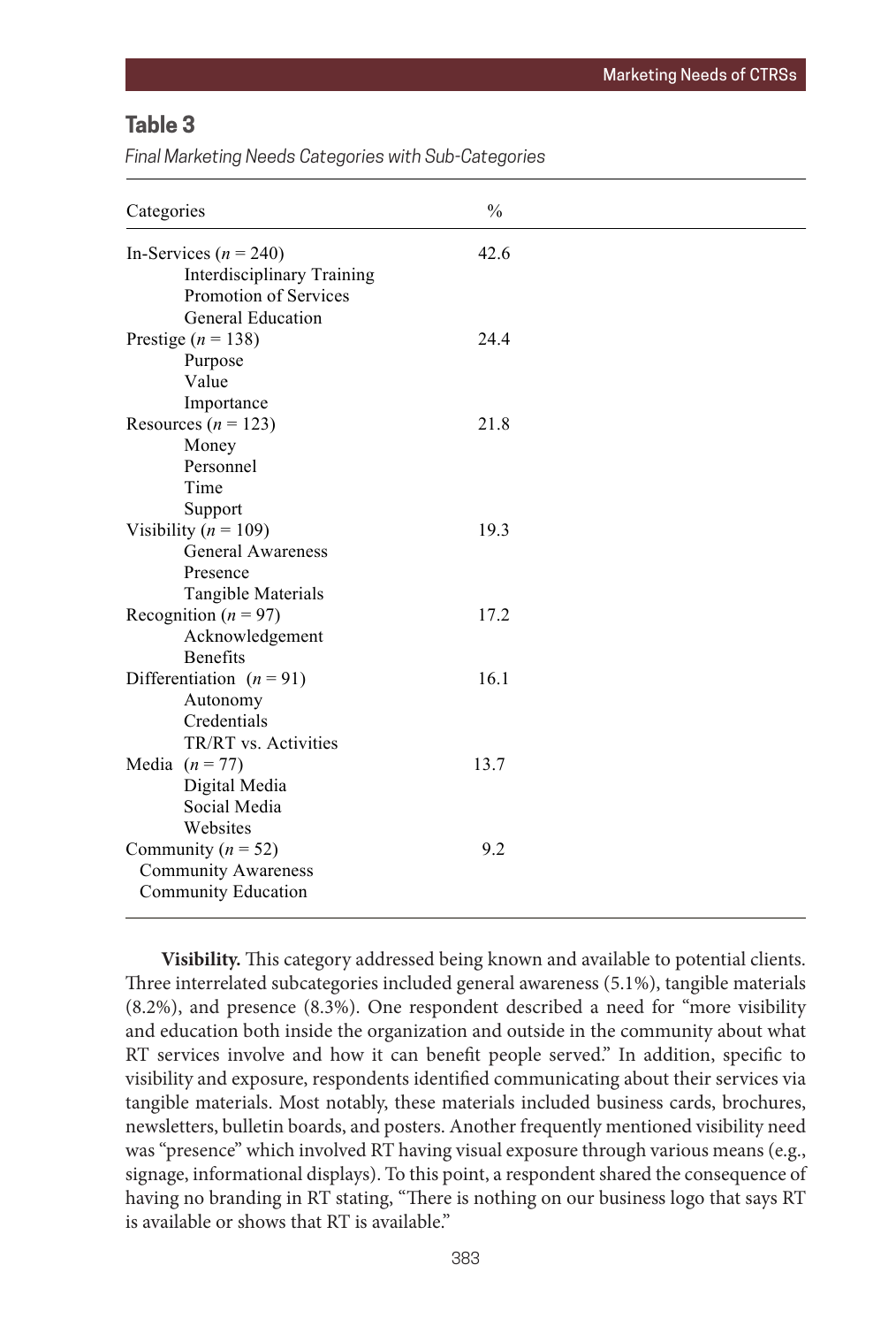# **Table 3**

Final Marketing Needs Categories with Sub-Categories

| Categories                                                                              | $\frac{0}{0}$ |  |
|-----------------------------------------------------------------------------------------|---------------|--|
| In-Services ( $n = 240$ )<br><b>Interdisciplinary Training</b><br>Promotion of Services | 42.6          |  |
| <b>General Education</b><br>Prestige ( $n = 138$ )<br>Purpose<br>Value<br>Importance    | 24.4          |  |
| Resources ( $n = 123$ )<br>Money<br>Personnel<br>Time<br>Support                        | 21.8          |  |
| Visibility ( $n = 109$ )<br>General Awareness<br>Presence<br>Tangible Materials         | 19.3          |  |
| Recognition ( $n = 97$ )<br>Acknowledgement<br><b>Benefits</b>                          | 17.2          |  |
| Differentiation $(n = 91)$<br>Autonomy<br>Credentials<br>TR/RT vs. Activities           | 16.1          |  |
| Media $(n = 77)$<br>Digital Media<br>Social Media<br>Websites                           | 13.7          |  |
| Community ( $n = 52$ )<br><b>Community Awareness</b><br>Community Education             | 9.2           |  |

**Visibility.** This category addressed being known and available to potential clients. Three interrelated subcategories included general awareness (5.1%), tangible materials (8.2%), and presence (8.3%). One respondent described a need for "more visibility and education both inside the organization and outside in the community about what RT services involve and how it can benefit people served." In addition, specific to visibility and exposure, respondents identified communicating about their services via tangible materials. Most notably, these materials included business cards, brochures, newsletters, bulletin boards, and posters. Another frequently mentioned visibility need was "presence" which involved RT having visual exposure through various means (e.g., signage, informational displays). To this point, a respondent shared the consequence of having no branding in RT stating, "There is nothing on our business logo that says RT is available or shows that RT is available."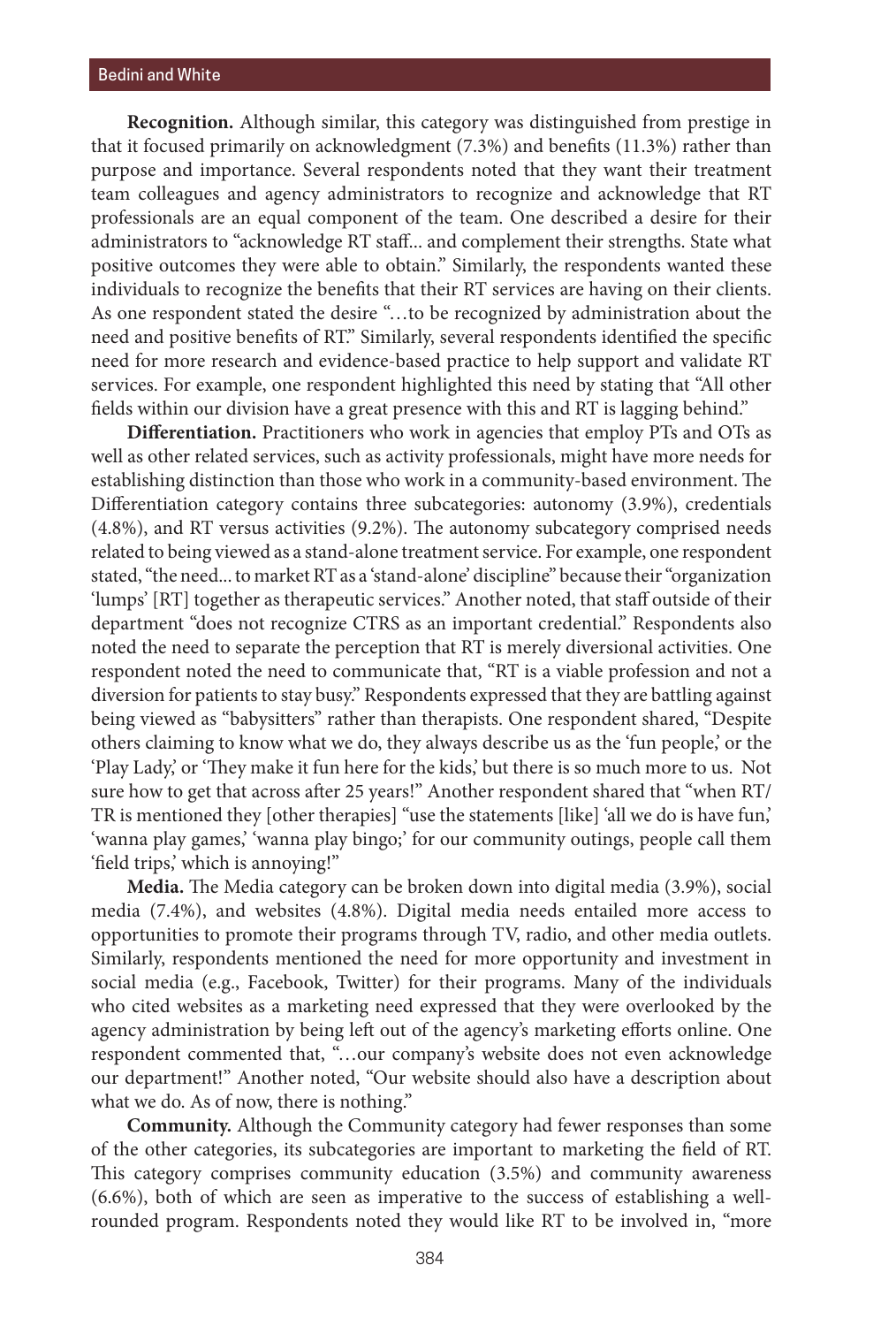**Recognition.** Although similar, this category was distinguished from prestige in that it focused primarily on acknowledgment (7.3%) and benefits (11.3%) rather than purpose and importance. Several respondents noted that they want their treatment team colleagues and agency administrators to recognize and acknowledge that RT professionals are an equal component of the team. One described a desire for their administrators to "acknowledge RT staff... and complement their strengths. State what positive outcomes they were able to obtain." Similarly, the respondents wanted these individuals to recognize the benefits that their RT services are having on their clients. As one respondent stated the desire "…to be recognized by administration about the need and positive benefits of RT." Similarly, several respondents identified the specific need for more research and evidence-based practice to help support and validate RT services. For example, one respondent highlighted this need by stating that "All other fields within our division have a great presence with this and RT is lagging behind."

**Differentiation.** Practitioners who work in agencies that employ PTs and OTs as well as other related services, such as activity professionals, might have more needs for establishing distinction than those who work in a community-based environment. The Differentiation category contains three subcategories: autonomy (3.9%), credentials (4.8%), and RT versus activities (9.2%). The autonomy subcategory comprised needs related to being viewed as a stand-alone treatment service. For example, one respondent stated, "the need... to market RT as a 'stand-alone' discipline" because their "organization 'lumps' [RT] together as therapeutic services." Another noted, that staff outside of their department "does not recognize CTRS as an important credential." Respondents also noted the need to separate the perception that RT is merely diversional activities. One respondent noted the need to communicate that, "RT is a viable profession and not a diversion for patients to stay busy." Respondents expressed that they are battling against being viewed as "babysitters" rather than therapists. One respondent shared, "Despite others claiming to know what we do, they always describe us as the 'fun people,' or the 'Play Lady,' or 'They make it fun here for the kids,' but there is so much more to us. Not sure how to get that across after 25 years!" Another respondent shared that "when RT/ TR is mentioned they [other therapies] "use the statements [like] 'all we do is have fun,' 'wanna play games,' 'wanna play bingo;' for our community outings, people call them 'field trips,' which is annoying!"

**Media.** The Media category can be broken down into digital media (3.9%), social media (7.4%), and websites (4.8%). Digital media needs entailed more access to opportunities to promote their programs through TV, radio, and other media outlets. Similarly, respondents mentioned the need for more opportunity and investment in social media (e.g., Facebook, Twitter) for their programs. Many of the individuals who cited websites as a marketing need expressed that they were overlooked by the agency administration by being left out of the agency's marketing efforts online. One respondent commented that, "…our company's website does not even acknowledge our department!" Another noted, "Our website should also have a description about what we do. As of now, there is nothing."

**Community.** Although the Community category had fewer responses than some of the other categories, its subcategories are important to marketing the field of RT. This category comprises community education (3.5%) and community awareness (6.6%), both of which are seen as imperative to the success of establishing a wellrounded program. Respondents noted they would like RT to be involved in, "more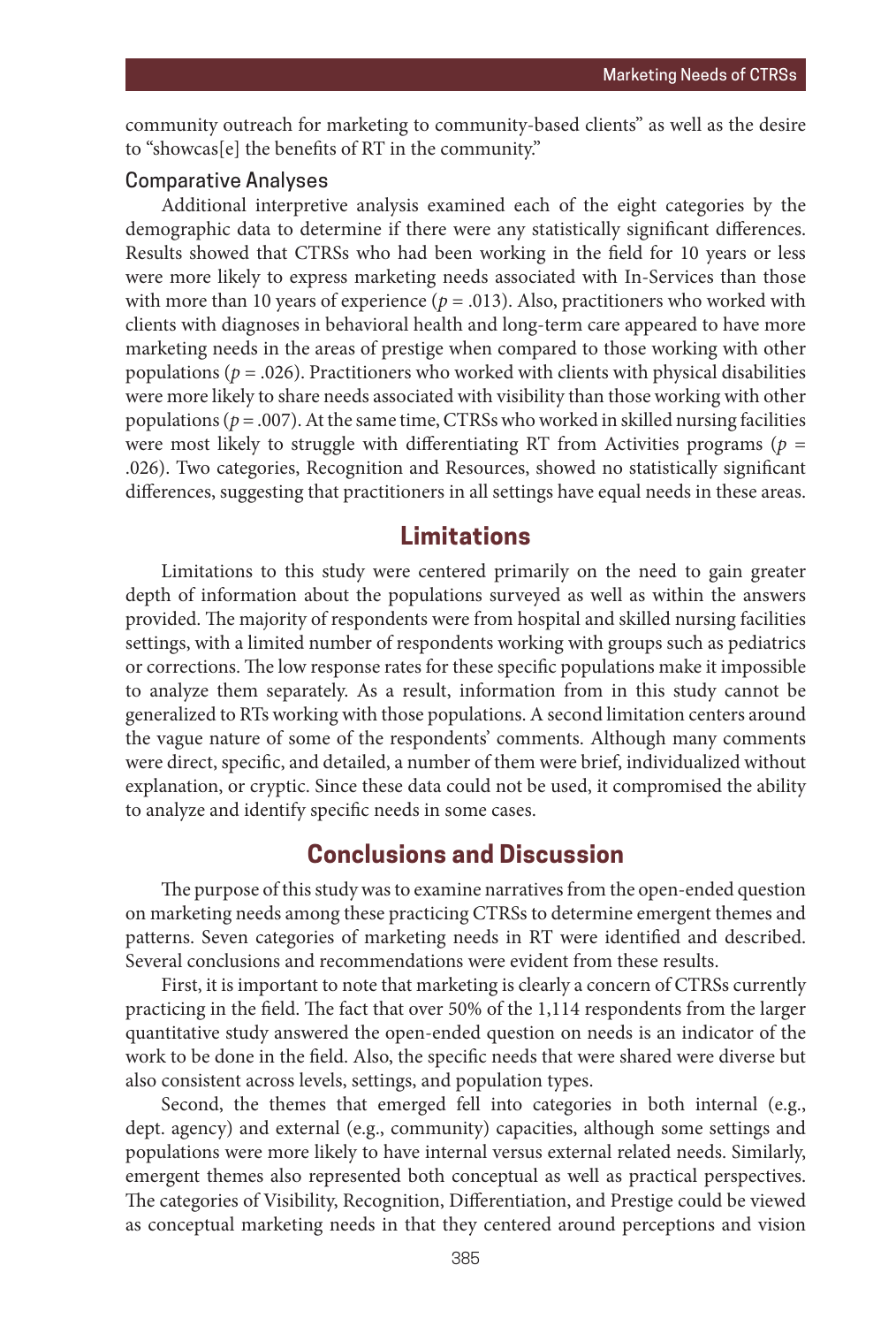community outreach for marketing to community-based clients" as well as the desire to "showcas[e] the benefits of RT in the community."

#### Comparative Analyses

Additional interpretive analysis examined each of the eight categories by the demographic data to determine if there were any statistically significant differences. Results showed that CTRSs who had been working in the field for 10 years or less were more likely to express marketing needs associated with In-Services than those with more than 10 years of experience ( $p = .013$ ). Also, practitioners who worked with clients with diagnoses in behavioral health and long-term care appeared to have more marketing needs in the areas of prestige when compared to those working with other populations ( $p = .026$ ). Practitioners who worked with clients with physical disabilities were more likely to share needs associated with visibility than those working with other populations ( $p = .007$ ). At the same time, CTRSs who worked in skilled nursing facilities were most likely to struggle with differentiating RT from Activities programs ( $p =$ .026). Two categories, Recognition and Resources, showed no statistically significant differences, suggesting that practitioners in all settings have equal needs in these areas.

# **Limitations**

Limitations to this study were centered primarily on the need to gain greater depth of information about the populations surveyed as well as within the answers provided. The majority of respondents were from hospital and skilled nursing facilities settings, with a limited number of respondents working with groups such as pediatrics or corrections. The low response rates for these specific populations make it impossible to analyze them separately. As a result, information from in this study cannot be generalized to RTs working with those populations. A second limitation centers around the vague nature of some of the respondents' comments. Although many comments were direct, specific, and detailed, a number of them were brief, individualized without explanation, or cryptic. Since these data could not be used, it compromised the ability to analyze and identify specific needs in some cases.

## **Conclusions and Discussion**

The purpose of this study was to examine narratives from the open-ended question on marketing needs among these practicing CTRSs to determine emergent themes and patterns. Seven categories of marketing needs in RT were identified and described. Several conclusions and recommendations were evident from these results.

First, it is important to note that marketing is clearly a concern of CTRSs currently practicing in the field. The fact that over 50% of the 1,114 respondents from the larger quantitative study answered the open-ended question on needs is an indicator of the work to be done in the field. Also, the specific needs that were shared were diverse but also consistent across levels, settings, and population types.

Second, the themes that emerged fell into categories in both internal (e.g., dept. agency) and external (e.g., community) capacities, although some settings and populations were more likely to have internal versus external related needs. Similarly, emergent themes also represented both conceptual as well as practical perspectives. The categories of Visibility, Recognition, Differentiation, and Prestige could be viewed as conceptual marketing needs in that they centered around perceptions and vision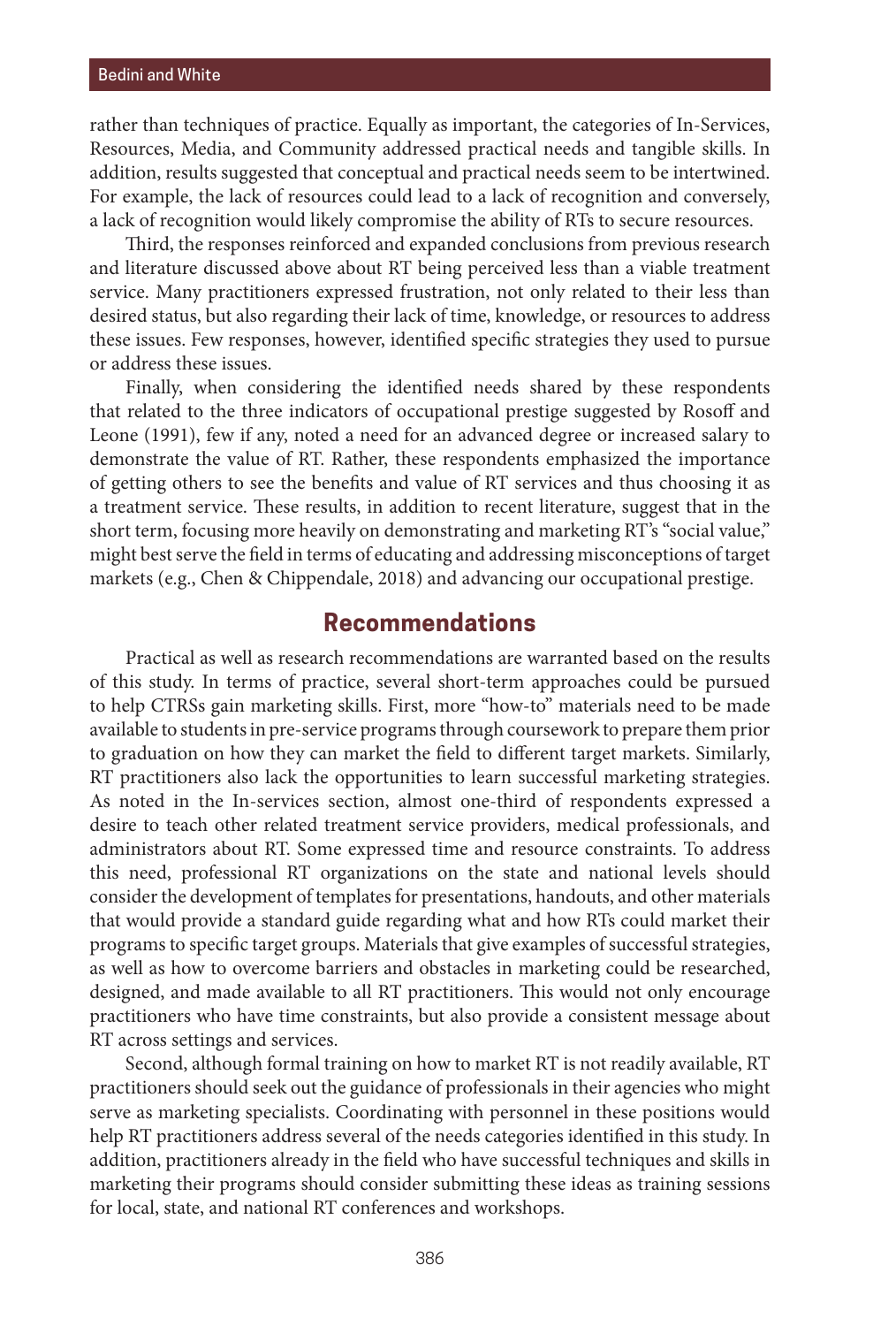rather than techniques of practice. Equally as important, the categories of In-Services, Resources, Media, and Community addressed practical needs and tangible skills. In addition, results suggested that conceptual and practical needs seem to be intertwined. For example, the lack of resources could lead to a lack of recognition and conversely, a lack of recognition would likely compromise the ability of RTs to secure resources.

Third, the responses reinforced and expanded conclusions from previous research and literature discussed above about RT being perceived less than a viable treatment service. Many practitioners expressed frustration, not only related to their less than desired status, but also regarding their lack of time, knowledge, or resources to address these issues. Few responses, however, identified specific strategies they used to pursue or address these issues.

Finally, when considering the identified needs shared by these respondents that related to the three indicators of occupational prestige suggested by Rosoff and Leone (1991), few if any, noted a need for an advanced degree or increased salary to demonstrate the value of RT. Rather, these respondents emphasized the importance of getting others to see the benefits and value of RT services and thus choosing it as a treatment service. These results, in addition to recent literature, suggest that in the short term, focusing more heavily on demonstrating and marketing RT's "social value," might best serve the field in terms of educating and addressing misconceptions of target markets (e.g., Chen & Chippendale, 2018) and advancing our occupational prestige.

## **Recommendations**

Practical as well as research recommendations are warranted based on the results of this study. In terms of practice, several short-term approaches could be pursued to help CTRSs gain marketing skills. First, more "how-to" materials need to be made available to students in pre-service programs through coursework to prepare them prior to graduation on how they can market the field to different target markets. Similarly, RT practitioners also lack the opportunities to learn successful marketing strategies. As noted in the In-services section, almost one-third of respondents expressed a desire to teach other related treatment service providers, medical professionals, and administrators about RT. Some expressed time and resource constraints. To address this need, professional RT organizations on the state and national levels should consider the development of templates for presentations, handouts, and other materials that would provide a standard guide regarding what and how RTs could market their programs to specific target groups. Materials that give examples of successful strategies, as well as how to overcome barriers and obstacles in marketing could be researched, designed, and made available to all RT practitioners. This would not only encourage practitioners who have time constraints, but also provide a consistent message about RT across settings and services.

Second, although formal training on how to market RT is not readily available, RT practitioners should seek out the guidance of professionals in their agencies who might serve as marketing specialists. Coordinating with personnel in these positions would help RT practitioners address several of the needs categories identified in this study. In addition, practitioners already in the field who have successful techniques and skills in marketing their programs should consider submitting these ideas as training sessions for local, state, and national RT conferences and workshops.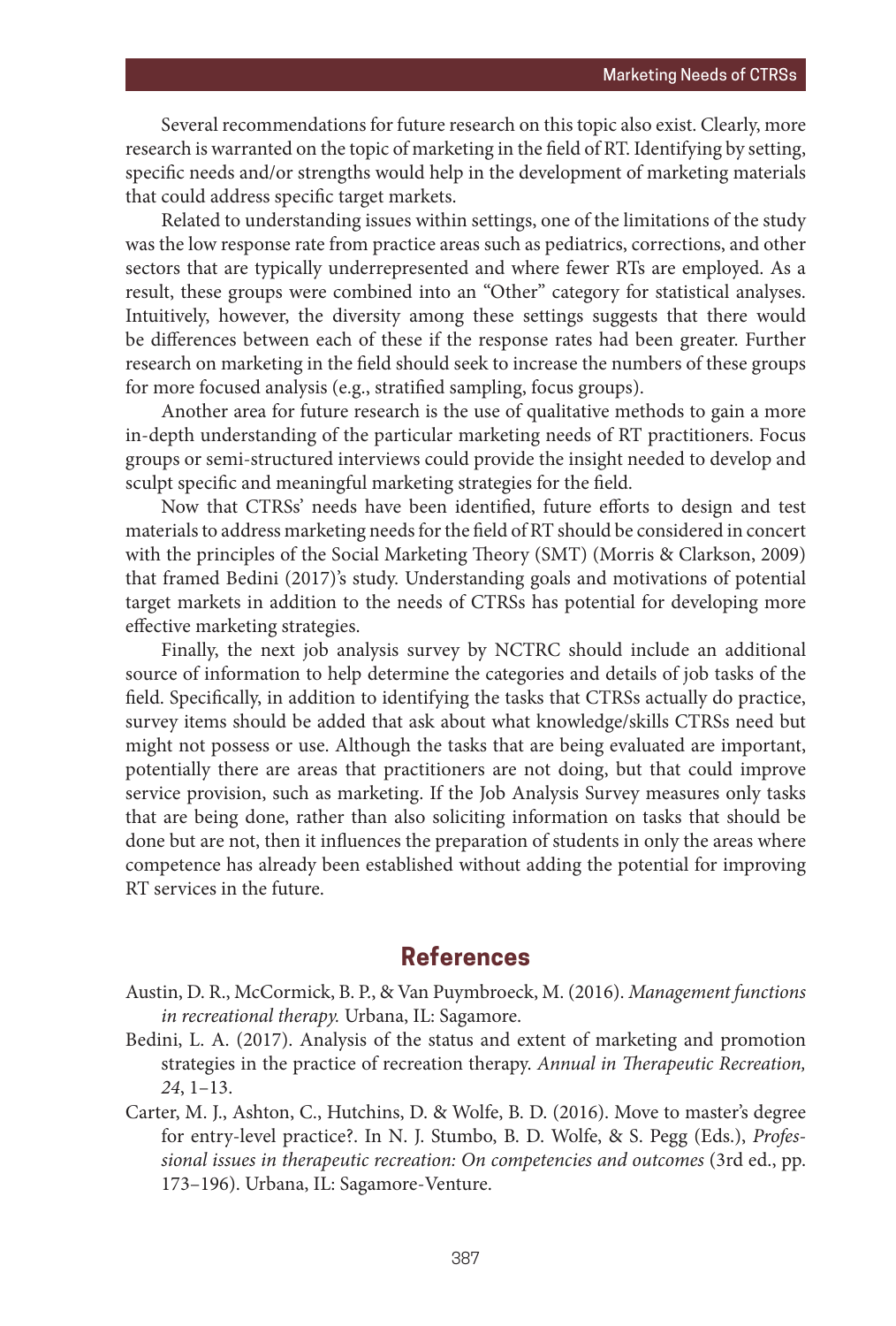Several recommendations for future research on this topic also exist. Clearly, more research is warranted on the topic of marketing in the field of RT. Identifying by setting, specific needs and/or strengths would help in the development of marketing materials that could address specific target markets.

Related to understanding issues within settings, one of the limitations of the study was the low response rate from practice areas such as pediatrics, corrections, and other sectors that are typically underrepresented and where fewer RTs are employed. As a result, these groups were combined into an "Other" category for statistical analyses. Intuitively, however, the diversity among these settings suggests that there would be differences between each of these if the response rates had been greater. Further research on marketing in the field should seek to increase the numbers of these groups for more focused analysis (e.g., stratified sampling, focus groups).

Another area for future research is the use of qualitative methods to gain a more in-depth understanding of the particular marketing needs of RT practitioners. Focus groups or semi-structured interviews could provide the insight needed to develop and sculpt specific and meaningful marketing strategies for the field.

Now that CTRSs' needs have been identified, future efforts to design and test materials to address marketing needs for the field of RT should be considered in concert with the principles of the Social Marketing Theory (SMT) (Morris & Clarkson, 2009) that framed Bedini (2017)'s study. Understanding goals and motivations of potential target markets in addition to the needs of CTRSs has potential for developing more effective marketing strategies.

Finally, the next job analysis survey by NCTRC should include an additional source of information to help determine the categories and details of job tasks of the field. Specifically, in addition to identifying the tasks that CTRSs actually do practice, survey items should be added that ask about what knowledge/skills CTRSs need but might not possess or use. Although the tasks that are being evaluated are important, potentially there are areas that practitioners are not doing, but that could improve service provision, such as marketing. If the Job Analysis Survey measures only tasks that are being done, rather than also soliciting information on tasks that should be done but are not, then it influences the preparation of students in only the areas where competence has already been established without adding the potential for improving RT services in the future.

# **References**

- Austin, D. R., McCormick, B. P., & Van Puymbroeck, M. (2016). *Management functions in recreational therapy.* Urbana, IL: Sagamore.
- Bedini, L. A. (2017). Analysis of the status and extent of marketing and promotion strategies in the practice of recreation therapy. *Annual in Therapeutic Recreation, 24*, 1–13.
- Carter, M. J., Ashton, C., Hutchins, D. & Wolfe, B. D. (2016). Move to master's degree for entry-level practice?. In N. J. Stumbo, B. D. Wolfe, & S. Pegg (Eds.), *Professional issues in therapeutic recreation: On competencies and outcomes* (3rd ed., pp. 173–196). Urbana, IL: Sagamore-Venture.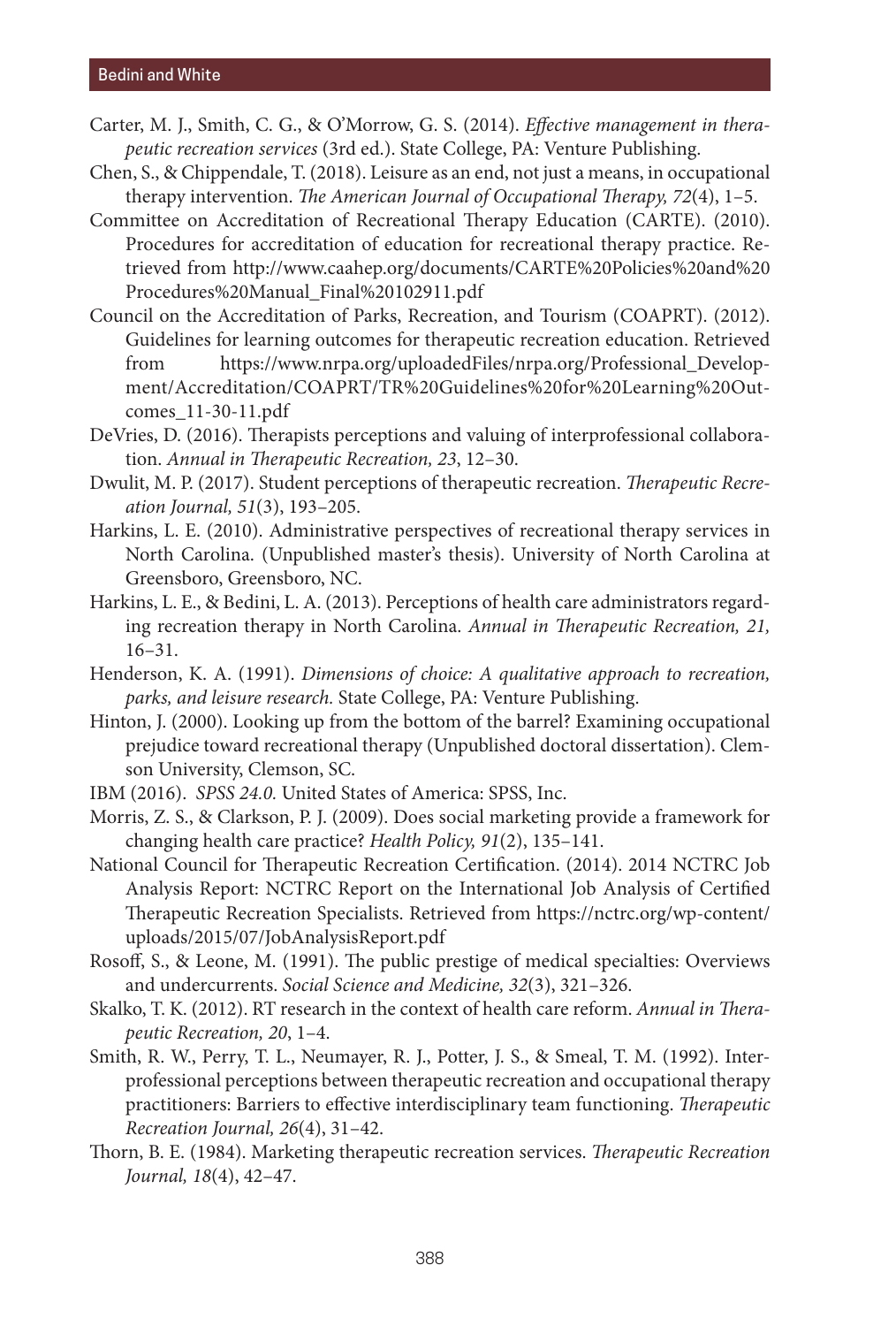- Carter, M. J., Smith, C. G., & O'Morrow, G. S. (2014). *Effective management in therapeutic recreation services* (3rd ed.). State College, PA: Venture Publishing.
- Chen, S., & Chippendale, T. (2018). Leisure as an end, not just a means, in occupational therapy intervention. *The American Journal of Occupational Therapy, 72*(4), 1–5.
- Committee on Accreditation of Recreational Therapy Education (CARTE). (2010). Procedures for accreditation of education for recreational therapy practice. Retrieved from http://www.caahep.org/documents/CARTE%20Policies%20and%20 Procedures%20Manual\_Final%20102911.pdf
- Council on the Accreditation of Parks, Recreation, and Tourism (COAPRT). (2012). Guidelines for learning outcomes for therapeutic recreation education. Retrieved from https://www.nrpa.org/uploadedFiles/nrpa.org/Professional\_Development/Accreditation/COAPRT/TR%20Guidelines%20for%20Learning%20Outcomes\_11-30-11.pdf
- DeVries, D. (2016). Therapists perceptions and valuing of interprofessional collaboration. *Annual in Therapeutic Recreation, 23*, 12–30.
- Dwulit, M. P. (2017). Student perceptions of therapeutic recreation. *Therapeutic Recreation Journal, 51*(3), 193–205.
- Harkins, L. E. (2010). Administrative perspectives of recreational therapy services in North Carolina. (Unpublished master's thesis). University of North Carolina at Greensboro, Greensboro, NC.
- Harkins, L. E., & Bedini, L. A. (2013). Perceptions of health care administrators regarding recreation therapy in North Carolina. *Annual in Therapeutic Recreation, 21,*  16–31.
- Henderson, K. A. (1991). *Dimensions of choice: A qualitative approach to recreation, parks, and leisure research.* State College, PA: Venture Publishing.
- Hinton, J. (2000). Looking up from the bottom of the barrel? Examining occupational prejudice toward recreational therapy (Unpublished doctoral dissertation). Clemson University, Clemson, SC.
- IBM (2016). *SPSS 24.0.* United States of America: SPSS, Inc.
- Morris, Z. S., & Clarkson, P. J. (2009). Does social marketing provide a framework for changing health care practice? *Health Policy, 91*(2), 135–141.
- National Council for Therapeutic Recreation Certification. (2014). 2014 NCTRC Job Analysis Report: NCTRC Report on the International Job Analysis of Certified Therapeutic Recreation Specialists. Retrieved from https://nctrc.org/wp-content/ uploads/2015/07/JobAnalysisReport.pdf
- Rosoff, S., & Leone, M. (1991). The public prestige of medical specialties: Overviews and undercurrents. *Social Science and Medicine, 32*(3), 321–326.
- Skalko, T. K. (2012). RT research in the context of health care reform. *Annual in Therapeutic Recreation, 20*, 1–4.
- Smith, R. W., Perry, T. L., Neumayer, R. J., Potter, J. S., & Smeal, T. M. (1992). Interprofessional perceptions between therapeutic recreation and occupational therapy practitioners: Barriers to effective interdisciplinary team functioning. *Therapeutic Recreation Journal, 26*(4), 31–42.
- Thorn, B. E. (1984). Marketing therapeutic recreation services. *Therapeutic Recreation Journal, 18*(4), 42–47.